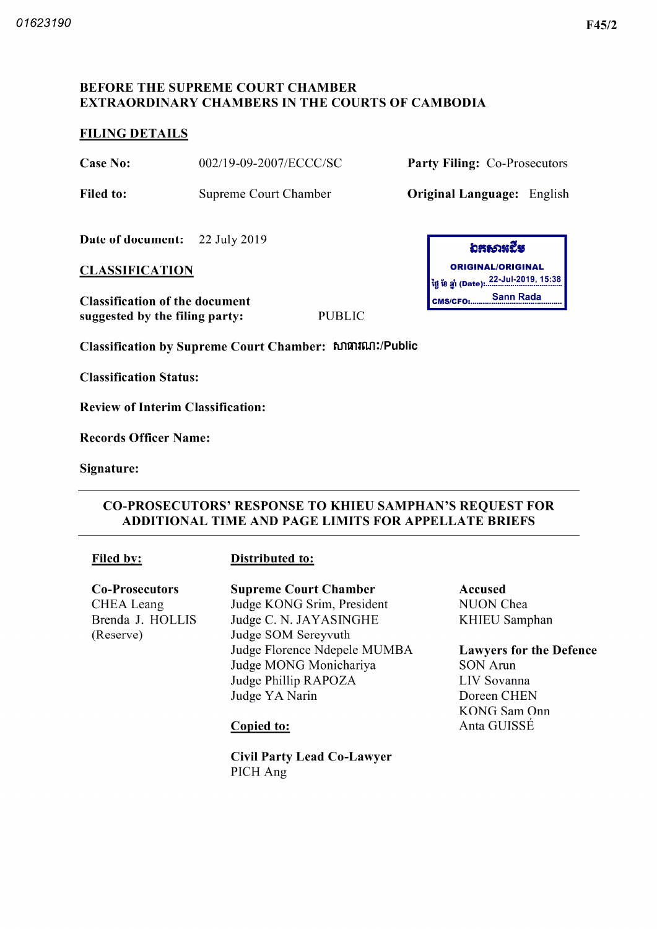# BEFORE THE SUPREME COURT CHAMBER EXTRAORDINARY CHAMBERS IN THE COURTS OF CAMBODIA

### FILING DETAILS

Case No: 002/19-09-2007/ECCC/SC Party Filing: Co-Prosecutors

Filed to: Supreme Court Chamber **Original Language:** English

Date of document: 22 July 2019

# **CLASSIFICATION**

Classification of the document suggested by the filing party: PUBLIC

Classification by Supreme Court Chamber: សាធារណ:/Public

Classification Status

Review of Interim Classification

Records Officer Name

Signature

### CO PROSECUTORS' RESPONSE TO KHIEU SAMPHAN'S REQUEST FOR ADDITIONAL TIME AND PAGE LIMITS FOR APPELLATE BRIEFS

#### Filed by: Distributed to:

Co-Prosecutors CHEA Leang Brenda J. HOLLIS Reserve

#### Supreme Court Chamber Judge KONG Srim, President Judge C. N. JAYASINGHE Judge SOM Sereyvuth Judge Florence Ndepele MUMBA Judge MONG Monichariya Judge Phillip RAPOZA Judge YA Narin

Civil Party Lead Co Lawyer PICH Ang

อสอวหะีย ORIGINAL/ORIGINAL 22 Jul 2019 15 38 tg jjfl Date Sann Rada CMS/CFO:

> Accused NUON Chea KHIEU Samphan

Lawyers for the Defence SON Arun

LIV Sovanna Doreen CHEN KONG Sam Onn Copied to: Anta GUISSÉ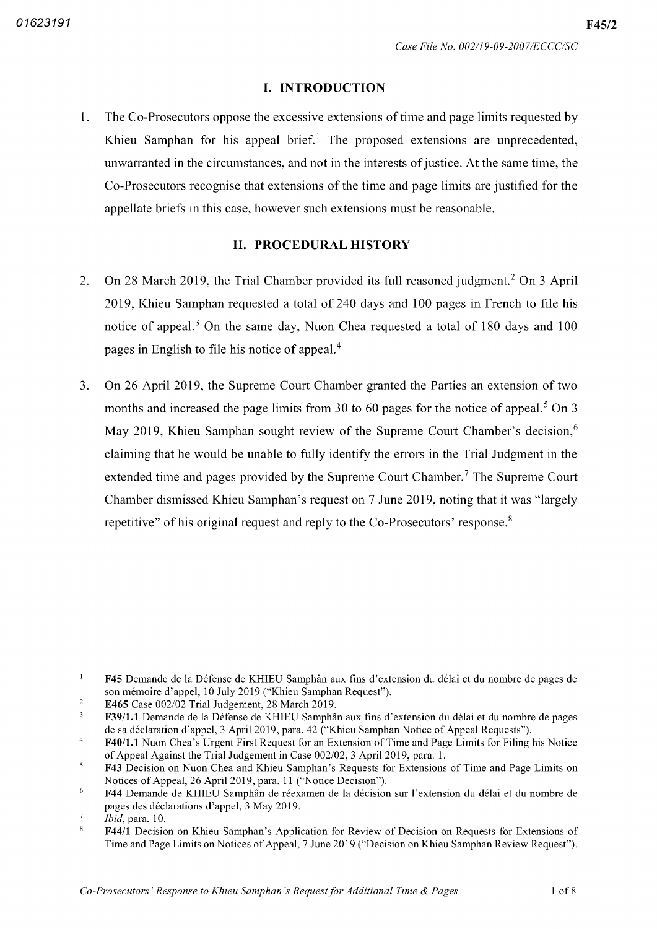F45/2

#### **I. INTRODUCTION**

The Co Prosecutors oppose the excessive extensions of time and page limits requested by  $1.$ Khieu Samphan for his appeal brief.<sup>1</sup> The proposed extensions are unprecedented, unwarranted in the circumstances, and not in the interests of justice. At the same time, the Co Prosecutors recognise that extensions of the time and page limits are justified for the appellate briefs in this case, however such extensions must be reasonable.

### II. PROCEDURAL HISTORY

- On 28 March 2019, the Trial Chamber provided its full reasoned judgment.<sup>2</sup> On 3 April  $2.$ 2019, Khieu Samphan requested a total of 240 days and 100 pages in French to file his notice of appeal.<sup>3</sup> On the same day, Nuon Chea requested a total of 180 days and 100 pages in English to file his notice of appeal
- On 26 April 2019, the Supreme Court Chamber granted the Parties an extension of two  $3<sub>1</sub>$ months and increased the page limits from 30 to 60 pages for the notice of appeal.<sup>5</sup> On 3 May 2019, Khieu Samphan sought review of the Supreme Court Chamber's decision,<sup>6</sup> claiming that he would be unable to fully identify the errors in the Trial Judgment in the extended time and pages provided by the Supreme Court Chamber.<sup>7</sup> The Supreme Court Chamber dismissed Khieu Samphan's request on 7 June 2019, noting that it was "largely repetitive" of his original request and reply to the Co-Prosecutors' response.<sup>8</sup>

 $\overline{1}$ F45 Demande de la Défense de KHIEU Samphân aux fins d'extension du délai et du nombre de pages de son mémoire d'appel. 10 July 2019 ("Khieu Samphan Request").

 $\overline{\mathcal{L}}$ E465 Case  $002/02$  Trial Judgement, 28 March 2019.

 $\overline{\mathbf{3}}$ F39/1.1 Demande de la Défense de KHIEU Samphân aux fins d'extension du délai et du nombre de pages de sa déclaration d'appel, 3 April 2019, para. 42 ("Khieu Samphan Notice of Appeal Requests")

 $\overline{4}$ F40/1.1 Nuon Chea's Urgent First Request for an Extension of Time and Page Limits for Filing his Notice of Appeal Against the Trial Judgement in Case 002/02, 3 April 2019, para. 1.

 $\overline{5}$ F43 Decision on Nuon Chea and Khieu Samphan's Requests for Extensions of Time and Page Limits on Notices of Appeal, 26 April 2019, para. 11 ("Notice Decision")

 $\ddot{\phantom{0}}$ F44 Demande de KHIEU Samphân de réexamen de la décision sur l'extension du délai et du nombre de pages des déclarations d'appel. 3 May 2019.

 $\overline{7}$ *Ibid*, para. 10.

 $\overline{8}$ F44/1 Decision on Khieu Samphan's Application for Review of Decision on Requests for Extensions of Time and Page Limits on Notices of Appeal, 7 June 2019 ("Decision on Khieu Samphan Review Request").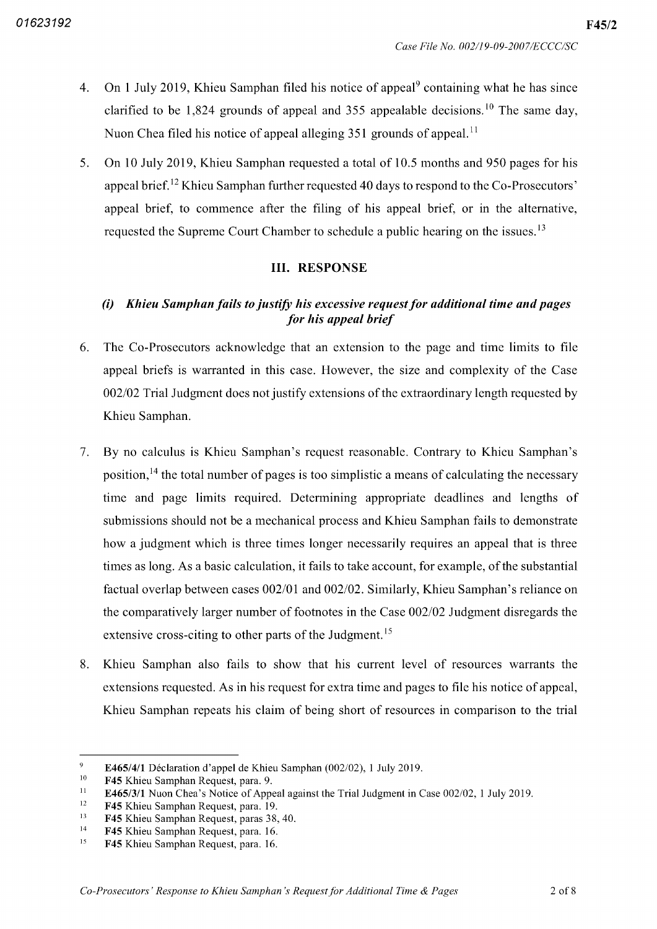- On 1 July 2019, Khieu Samphan filed his notice of appeal<sup>9</sup> containing what he has since  $4.$ clarified to be 1,824 grounds of appeal and 355 appealable decisions.<sup>10</sup> The same day Nuon Chea filed his notice of appeal alleging 351 grounds of appeal.<sup>11</sup>
- $5<sub>1</sub>$ On 10 July 2019, Khieu Samphan requested a total of 10.5 months and 950 pages for his appeal brief. $^{12}$  Khieu Samphan further requested 40 days to respond to the Co-Prosecutors' appeal brief, to commence after the filing of his appeal brief, or in the alternative, requested the Supreme Court Chamber to schedule a public hearing on the issues.<sup>13</sup>

## **III. RESPONSE**

# $(i)$  Khieu Samphan fails to justify his excessive request for additional time and pages for his appeal brief

- 6. The Co Prosecutors acknowledge that an extension to the page and time limits to file appeal briefs is warranted in this case. However, the size and complexity of the Case 002/02 Trial Judgment does not justify extensions of the extraordinary length requested by Khieu Samphan
- $7.$ By no calculus is Khieu Samphan's request reasonable Contrary to Khieu Samphan's position,<sup>14</sup> the total number of pages is too simplistic a means of calculating the necessary time and page limits required. Determining appropriate deadlines and lengths of submissions should not be a mechanical process and Khieu Samphan fails to demonstrate how a judgment which is three times longer necessarily requires an appeal that is three times as long. As a basic calculation, it fails to take account, for example, of the substantial factual overlap between cases 002/01 and 002/02. Similarly, Khieu Samphan's reliance on the comparatively larger number of footnotes in the Case 002/02 Judgment disregards the extensive cross-citing to other parts of the Judgment.<sup>15</sup>
- Khieu Samphan also fails to show that his current level of resources warrants the  $8.$ extensions requested. As in his request for extra time and pages to file his notice of appeal, Khieu Samphan repeats his claim of being short of resources in comparison to the trial

 $\overline{9}$ E465/4/1 Déclaration d'appel de Khieu Samphan  $(002/02)$ , 1 July 2019.

F45 Khieu Samphan Request, para. 9. 10

 $11\,$ E465/3/1 Nuon Chea's Notice of Appeal against the Trial Judgment in Case  $002/02$ , 1 July 2019.

 $12$ **F45** Khieu Samphan Request, para. 19.

 $13$ **F45** Khieu Samphan Request, paras 38, 40.

F45 Khieu Samphan Request, para. 16. 14

 $15$ **F45** Khieu Samphan Request, para. 16.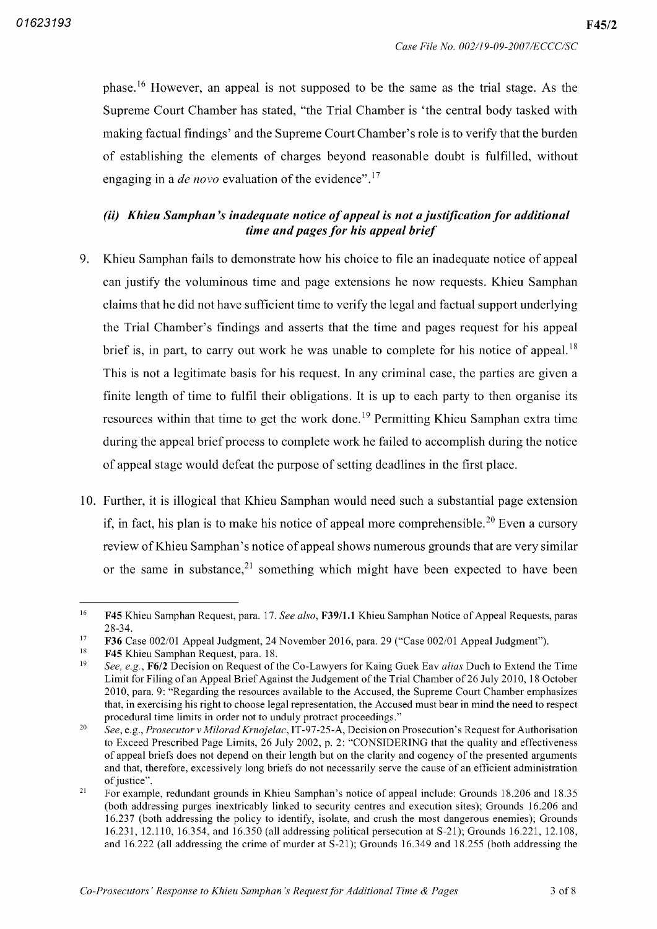phase.<sup>16</sup> However, an appeal is not supposed to be the same as the trial stage. As the Supreme Court Chamber has stated, "the Trial Chamber is 'the central body tasked with making factual findings' and the Supreme Court Chamber's role is to verify that the burden of establishing the elements of charges beyond reasonable doubt is fulfilled, without engaging in a *de novo* evaluation of the evidence".<sup>17</sup>

# $(ii)$  Khieu Samphan's inadequate notice of appeal is not a justification for additional time and pages for his appeal brief

- 9. Khieu Samphan fails to demonstrate how his choice to file an inadequate notice of appeal can justify the voluminous time and page extensions he now requests Khieu Samphan claims that he did not have sufficient time to verify the legal and factual support underlying the Trial Chamber's findings and asserts that the time and pages request for his appeal brief is, in part, to carry out work he was unable to complete for his notice of appeal.<sup>18</sup> This is not a legitimate basis for his request. In any criminal case, the parties are given a finite length of time to fulfil their obligations. It is up to each party to then organise its resources within that time to get the work done 19 Permitting Khieu Samphan extra time during the appeal brief process to complete work he failed to accomplish during the notice of appeal stage would defeat the purpose of setting deadlines in the first place
- 10. Further, it is illogical that Khieu Samphan would need such a substantial page extension if, in fact, his plan is to make his notice of appeal more comprehensible.<sup>20</sup> Even a cursory review of Khieu Samphan's notice of appeal shows numerous grounds that are very similar or the same in substance, $2<sup>1</sup>$  something which might have been expected to have been

i6 F45 Khieu Samphan Request, para. 17. See also, F39/1.1 Khieu Samphan Notice of Appeal Requests, paras 28-34.

F36 Case 002/01 Appeal Judgment, 24 November 2016, para. 29 ("Case 002/01 Appeal Judgment") 17

F45 Khieu Samphan Request, para. 18. 18

See, e.g.,  $F6/2$  Decision on Request of the Co-Lawyers for Kaing Guek Eav *alias* Duch to Extend the Time Limit for Filing of an Appeal Brief Against the Judgement of the Trial Chamber of 26 July 2010 <sup>18</sup> October 2010, para. 9: "Regarding the resources available to the Accused, the Supreme Court Chamber emphasizes that, in exercising his right to choose legal representation, the Accused must bear in mind the need to respect procedural time limits in order not to unduly protract proceedings 19

See, e.g., Prosecutor v Milorad Krnojelac, IT-97-25-A, Decision on Prosecution's Request for Authorisation to Exceed Prescribed Page Limits, 26 July 2002, p. 2: "CONSIDERING that the quality and effectiveness of appeal briefs does not depend on their length but on the clarity and cogency of the presented arguments and that, therefore, excessively long briefs do not necessarily serve the cause of an efficient administration of justice". 20

For example, redundant grounds in Khieu Samphan's notice of appeal include: Grounds 18.206 and 18.35 (both addressing purges inextricably linked to security centres and execution sites): Grounds 16.206 and 16.237 (both addressing the policy to identify, isolate, and crush the most dangerous enemies); Grounds 16.231, 12.110, 16.354, and 16.350 (all addressing political persecution at  $S-21$ ); Grounds 16.221, 12.108, and  $16.222$  (all addressing the crime of murder at S-21); Grounds  $16.349$  and  $18.255$  (both addressing the 21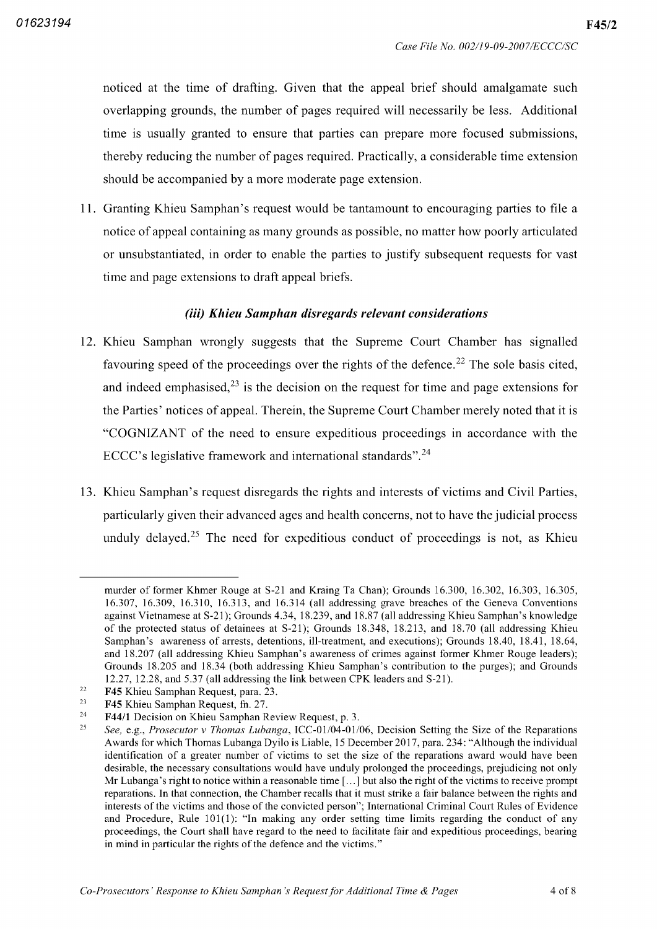noticed at the time of drafting. Given that the appeal brief should amalgamate such overlapping grounds, the number of pages required will necessarily be less. Additional time is usually granted to ensure that parties can prepare more focused submissions thereby reducing the number of pages required. Practically, a considerable time extension should be accompanied by a more moderate page extension.

11. Granting Khieu Samphan's request would be tantamount to encouraging parties to file a notice of appeal containing as many grounds as possible, no matter how poorly articulated or unsubstantiated, in order to enable the parties to justify subsequent requests for vast time and page extensions to draft appeal briefs

### (iii) Khieu Samphan disregards relevant considerations

- <sup>12</sup> Khieu Samphan wrongly suggests that the Supreme Court Chamber has signalled favouring speed of the proceedings over the rights of the defence.<sup>22</sup> The sole basis cited, and indeed emphasised, $2<sup>3</sup>$  is the decision on the request for time and page extensions for the Parties' notices of appeal. Therein, the Supreme Court Chamber merely noted that it is "COGNIZANT of the need to ensure expeditious proceedings in accordance with the ECCC's legislative framework and international standards". $24$
- <sup>13</sup> Khieu Samphan's request disregards the rights and interests of victims and Civil Parties particularly given their advanced ages and health concerns not to have the judicial process unduly delayed.<sup>25</sup> The need for expeditious conduct of proceedings is not, as Khieu

murder of former Khmer Rouge at S-21 and Kraing Ta Chan); Grounds  $16,300, 16,302, 16,303, 16,305$ , 16.307, 16.309, 16.310, 16.313, and 16.314 (all addressing grave breaches of the Geneva Conventions against Vietnamese at S-21); Grounds 4.34, 18.239, and 18.87 (all addressing Khieu Samphan's knowledge of the protected status of detainees at S-21); Grounds 18.348, 18.213, and 18.70 (all addressing Khieu Samphan's awareness of arrests, detentions, ill-treatment, and executions); Grounds 18.40, 18.41, 18.64, and 18.207 (all addressing Khieu Samphan's awareness of crimes against former Khmer Rouge leaders); Grounds 18.205 and 18.34 (both addressing Khieu Samphan's contribution to the purges); and Grounds  $12.27$ ,  $12.28$ , and  $5.37$  (all addressing the link between CPK leaders and S-21).

F45 Khieu Samphan Request, para. 23. 22

F45 Khieu Samphan Request, fn. 27. 23

F44/1 Decision on Khieu Samphan Review Request, p. 3. 24

See, e.g., Prosecutor v Thomas Lubanga, ICC-01/04-01/06, Decision Setting the Size of the Reparations Awards for which Thomas Lubanga Dyilo is Liable, 15 December 2017, para. 234: "Although the individual identification of a greater number of victims to set the size of the reparations award would have been desirable, the necessary consultations would have unduly prolonged the proceedings, prejudicing not only Mr Lubanga's right to notice within a reasonable time  $[\dots]$  but also the right of the victims to receive prompt reparations. In that connection, the Chamber recalls that it must strike a fair balance between the rights and interests of the victims and those of the convicted person"; International Criminal Court Rules of Evidence and Procedure, Rule  $101(1)$ : "In making any order setting time limits regarding the conduct of any proceedings the Court shall have regard to the need to facilitate fair and expeditious proceedings bearing in mind in particular the rights of the defence and the victims." 25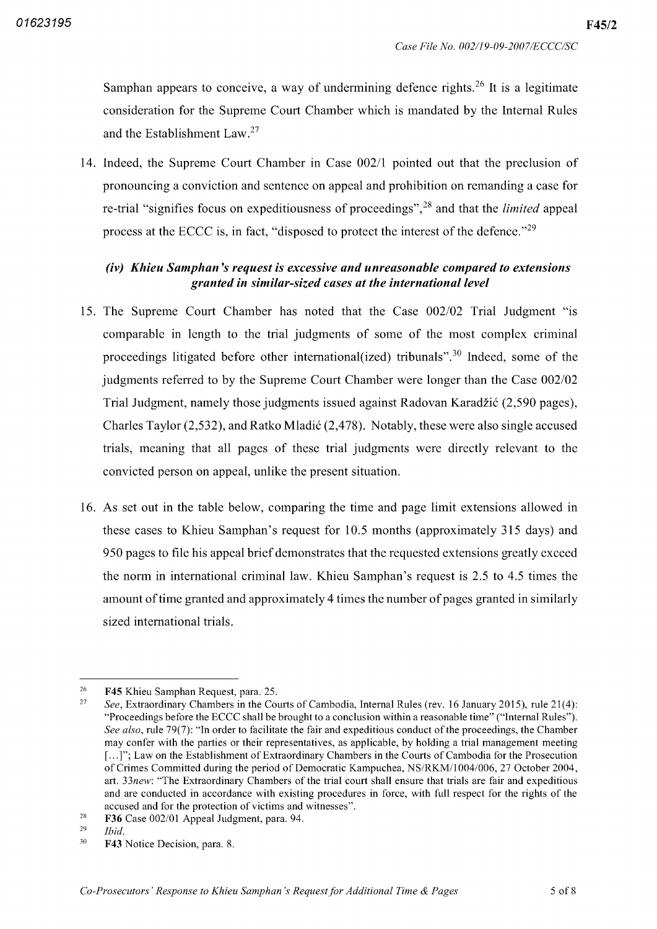Samphan appears to conceive, a way of undermining defence rights.<sup>26</sup> It is a legitimate consideration for the Supreme Court Chamber which is mandated by the Internal Rules and the Establishment  $Law.^{27}$ 

14. Indeed, the Supreme Court Chamber in Case 002/1 pointed out that the preclusion of pronouncing a conviction and sentence on appeal and prohibition on remanding a case for re-trial "signifies focus on expeditiousness of proceedings",<sup>28</sup> and that the *limited* appeal process at the ECCC is, in fact, "disposed to protect the interest of the defence."<sup>29</sup>

# $(iv)$  Khieu Samphan's request is excessive and unreasonable compared to extensions granted in similar sized cases at the international level

- 15. The Supreme Court Chamber has noted that the Case 002/02 Trial Judgment "is comparable in length to the trial judgments of some of the most complex criminal proceedings litigated before other international (ized) tribunals".<sup>30</sup> Indeed, some of the judgments referred to by the Supreme Court Chamber were longer than the Case 002/02 Trial Judgment, namely those judgments issued against Radovan Karadžić (2,590 pages), Charles Taylor  $(2,532)$ , and Ratko Mladić  $(2,478)$ . Notably, these were also single accused trials, meaning that all pages of these trial judgments were directly relevant to the convicted person on appeal, unlike the present situation.
- <sup>16</sup> As set out in the table below comparing the time and page limit extensions allowed in these cases to Khieu Samphan's request for 10.5 months (approximately 315 days) and 950 pages to fde his appeal brief demonstrates that the requested extensions greatly exceed the norm in international criminal law. Khieu Samphan's request is  $2.5$  to  $4.5$  times the amount of time granted and approximately 4 times the number of pages granted in similarly sized international trials

Ibid 29

<sup>26</sup> F45 Khieu Samphan Request, para. 25.

See, Extraordinary Chambers in the Courts of Cambodia, Internal Rules (rev. 16 January 2015), rule 21(4): "Proceedings before the ECCC shall be brought to a conclusion within a reasonable time" ("Internal Rules"). See also, rule 79(7): "In order to facilitate the fair and expeditious conduct of the proceedings, the Chamber may confer with the parties or their representatives, as applicable, by holding a trial management meeting [...]"; Law on the Establishment of Extraordinary Chambers in the Courts of Cambodia for the Prosecution of Crimes Committed during the period of Democratic Kampuchea, NS/RKM/1004/006, 27 October 2004, art. 33new: "The Extraordinary Chambers of the trial court shall ensure that trials are fair and expeditious and are conducted in accordance with existing procedures in force with full respect for the rights of the accused and for the protection of victims and witnesses" 27

F36 Case 002/01 Appeal Judgment, para. 94. 28

F43 Notice Decision, para. 8. 30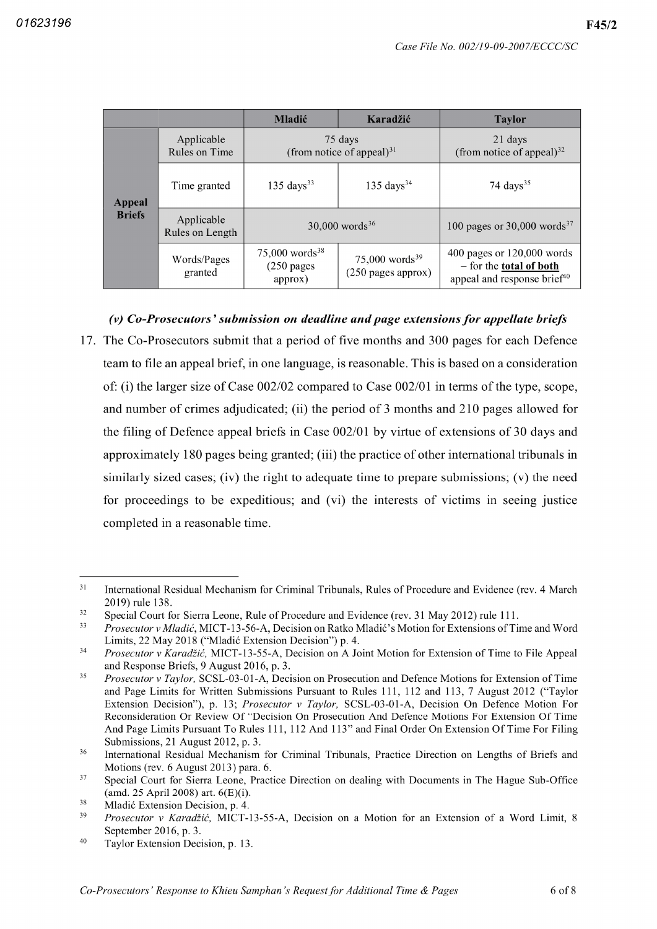F45/2

|                                |                               | <b>Mladić</b>                                           | Karadžić                                           | <b>Taylor</b>                                                                                             |
|--------------------------------|-------------------------------|---------------------------------------------------------|----------------------------------------------------|-----------------------------------------------------------------------------------------------------------|
| <b>Appeal</b><br><b>Briefs</b> | Applicable<br>Rules on Time   | 75 days<br>(from notice of appeal) $31$                 |                                                    | 21 days<br>(from notice of appeal) $32$                                                                   |
|                                | Time granted                  | $135 \text{ days}^{33}$                                 | $135 \text{ days}^{34}$                            | 74 days $35$                                                                                              |
|                                | Applicable<br>Rules on Length | $30,000$ words <sup>36</sup>                            |                                                    | 100 pages or 30,000 words <sup>37</sup>                                                                   |
|                                | Words/Pages<br>granted        | $75,000$ words <sup>38</sup><br>$(250$ pages<br>approx) | 75,000 words <sup>39</sup><br>$(250$ pages approx) | 400 pages or 120,000 words<br>$-$ for the <b>total of both</b><br>appeal and response brief <sup>40</sup> |

# Co-Prosecutors' submission on deadline and page extensions for appellate briefs

17. The Co-Prosecutors submit that a period of five months and 300 pages for each Defence team to file an appeal brief, in one language, is reasonable. This is based on a consideration of: (i) the larger size of Case  $002/02$  compared to Case  $002/01$  in terms of the type, scope, and number of crimes adjudicated; (ii) the period of 3 months and 210 pages allowed for the filing of Defence appeal briefs in Case 002/01 by virtue of extensions of 30 days and approximately 180 pages being granted; (iii) the practice of other international tribunals in similarly sized cases; (iv) the right to adequate time to prepare submissions; (v) the need for proceedings to be expeditious; and (vi) the interests of victims in seeing justice completed in a reasonable time.

<sup>31</sup> International Residual Mechanism for Criminal Tribunals, Rules of Procedure and Evidence (rev. 4 March 2019) rule 138.

<sup>32</sup> Special Court for Sierra Leone, Rule of Procedure and Evidence (rev. 31 May 2012) rule 111.

<sup>33</sup> Prosecutor v Mladić, MICT-13-56-A, Decision on Ratko Mladić's Motion for Extensions of Time and Word Limits, 22 May 2018 ("Mladić Extension Decision") p. 4.

<sup>34</sup> Prosecutor v Karadžić, MICT-13-55-A, Decision on A Joint Motion for Extension of Time to File Appeal and Response Briefs, 9 August 2016, p. 3.

<sup>35</sup> Prosecutor v Taylor, SCSL-03-01-A, Decision on Prosecution and Defence Motions for Extension of Time and Page Limits for Written Submissions Pursuant to Rules 111, 112 and 113, 7 August 2012 ("Taylor Extension Decision"), p. 13; Prosecutor v Taylor, SCSL-03-01-A, Decision On Defence Motion For Reconsideration Or Review Of "Decision On Prosecution And Defence Motions For Extension Of Time And Page Limits Pursuant To Rules 111, 112 And 113" and Final Order On Extension Of Time For Filing Submissions, 21 August 2012, p. 3.

<sup>36</sup> International Residual Mechanism for Criminal Tribunals Practice Direction on Lengths of Briefs and Motions (rev.  $6$  August 2013) para.  $6$ .

Special Court for Sierra Leone, Practice Direction on dealing with Documents in The Hague Sub-Office  $(amd. 25 April 2008)$  art.  $6(E)(i)$ . 37

<sup>38</sup> Mladić Extension Decision, p. 4.

<sup>39</sup> Prosecutor v Karadžić, MICT-13-55-A, Decision on a Motion for an Extension of a Word Limit, 8 September 2016, p. 3.

<sup>40</sup> Taylor Extension Decision, p. 13.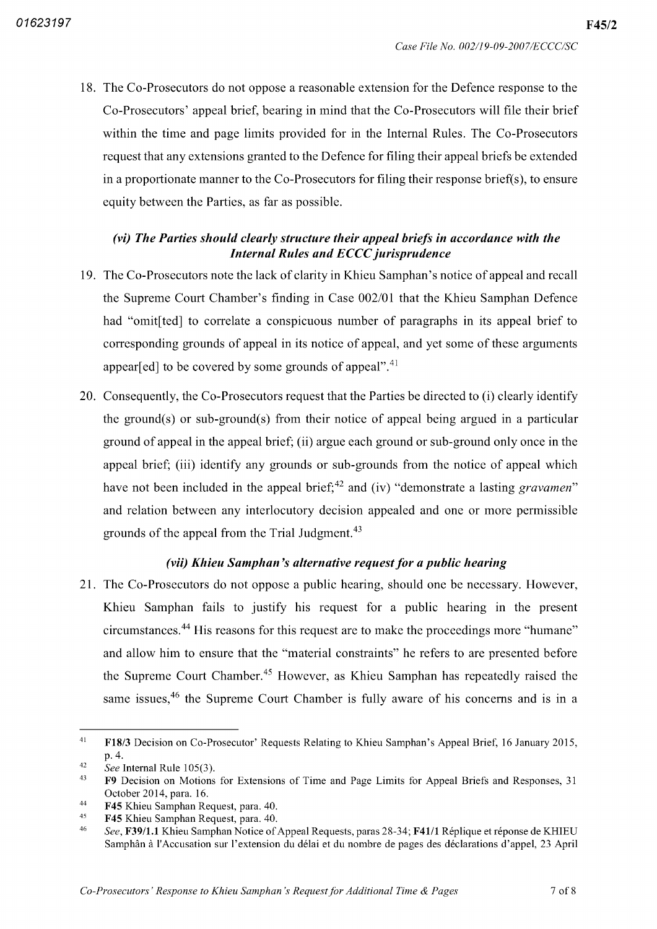18. The Co-Prosecutors do not oppose a reasonable extension for the Defence response to the Co-Prosecutors' appeal brief, bearing in mind that the Co-Prosecutors will file their brief within the time and page limits provided for in the Internal Rules. The Co-Prosecutors request that any extensions granted to the Defence for filing their appeal briefs be extended in a proportionate manner to the Co-Prosecutors for filing their response brief(s), to ensure equity between the Parties, as far as possible.

# (vi) The Parties should clearly structure their appeal briefs in accordance with the Internal Rules and ECCC jurisprudence

- <sup>19</sup> The Co Prosecutors note the lack of clarity in Khieu Samphan's notice of appeal and recall the Supreme Court Chamber's finding in Case 002 <sup>01</sup> that the Khieu Samphan Defence had "omit[ted] to correlate a conspicuous number of paragraphs in its appeal brief to corresponding grounds of appeal in its notice of appeal, and yet some of these arguments appear[ed] to be covered by some grounds of appeal".<sup>41</sup>
- 20. Consequently, the Co-Prosecutors request that the Parties be directed to (i) clearly identify the ground(s) or sub-ground(s) from their notice of appeal being argued in a particular ground of appeal in the appeal brief; (ii) argue each ground or sub-ground only once in the appeal brief; (iii) identify any grounds or sub-grounds from the notice of appeal which have not been included in the appeal brief;<sup>42</sup> and (iv) "demonstrate a lasting *gravamen*" and relation between any interlocutory decision appealed and one or more permissible grounds of the appeal from the Trial Judgment 43

## (vii) Khieu Samphan's alternative request for a public hearing

21. The Co-Prosecutors do not oppose a public hearing, should one be necessary. However, Khieu Samphan fails to justify his request for a public hearing in the present circumstances 44 His reasons for this request are to make the proceedings more "humane" and allow him to ensure that the "material constraints" he refers to are presented before the Supreme Court Chamber.<sup>45</sup> However, as Khieu Samphan has repeatedly raised the same issues,<sup>46</sup> the Supreme Court Chamber is fully aware of his concerns and is in

<sup>41</sup> F18/3 Decision on Co-Prosecutor' Requests Relating to Khieu Samphan's Appeal Brief, 16 January 2015, p. 4.

See Internal Rule 105(3). 42

F9 Decision on Motions for Extensions of Time and Page Limits for Appeal Briefs and Responses <sup>31</sup> October 2014, para. 16. 43

**F45** Khieu Samphan Request, para. 40. 44

**F45** Khieu Samphan Request, para. 40. 45

See, **F39/1.1** Khieu Samphan Notice of Appeal Requests, paras 28-34; **F41/1** Réplique et réponse de KHIEU Samphân à l'Accusation sur l'extension du délai et du nombre de pages des déclarations d'appel, 23 April 46